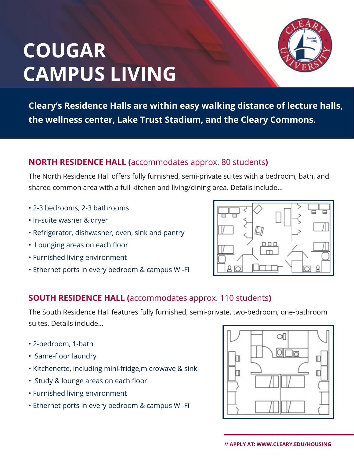# **COUGAR CAMPUS LIVING**



**Cleary's Residence Halls are within easy walking distance of lecture halls, the wellness center, Lake Trust Stadium, and the Cleary Commons.**

#### **NORTH RESIDENCE HALL (**accommodates approx. 80 students**)**

The North Residence Hall offers fully furnished, semi-private suites with a bedroom, bath, and shared common area with a full kitchen and living/dining area. Details include…

- 2-3 bedrooms, 2-3 bathrooms
- In-suite washer & dryer
- Refrigerator, dishwasher, oven, sink and pantry
- Lounging areas on each floor
- Furnished living environment
- Ethernet ports in every bedroom & campus Wi-Fi



### **SOUTH RESIDENCE HALL (**accommodates approx. 110 students**)**

The South Residence Hall features fully furnished, semi-private, two-bedroom, one-bathroom suites. Details include…

- 2-bedroom, 1-bath
- Same-floor laundry
- Kitchenette, including mini-fridge,microwave & sink
- Study & lounge areas on each floor
- Furnished living environment
- Ethernet ports in every bedroom & campus Wi-Fi